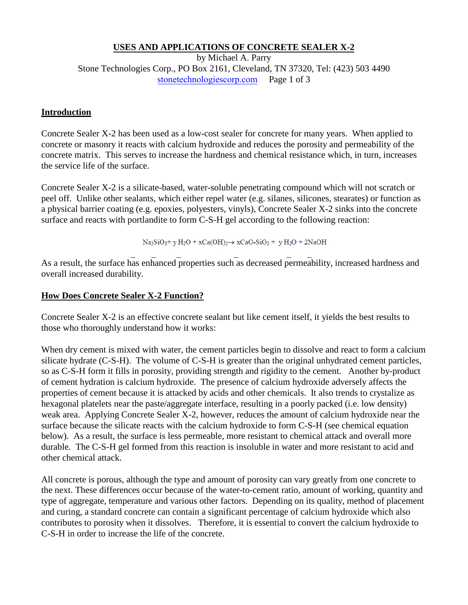## **USES AND APPLICATIONS OF CONCRETE SEALER X-2**

by Michael A. Parry Stone Technologies Corp., PO Box 2161, Cleveland, TN 37320, Tel: (423) 503 4490 stonetechnologiescorp.com Page 1 of 3

### **Introduction**

Concrete Sealer X-2 has been used as a low-cost sealer for concrete for many years. When applied to concrete or masonry it reacts with calcium hydroxide and reduces the porosity and permeability of the concrete matrix. This serves to increase the hardness and chemical resistance which, in turn, increases the service life of the surface.

Concrete Sealer X-2 is a silicate-based, water-soluble penetrating compound which will not scratch or peel off. Unlike other sealants, which either repel water (e.g. silanes, silicones, stearates) or function as a physical barrier coating (e.g. epoxies, polyesters, vinyls), Concrete Sealer X-2 sinks into the concrete surface and reacts with portlandite to form C-S-H gel according to the following reaction:

 $Na<sub>2</sub>SiO<sub>3</sub> + y H<sub>2</sub>O + x Ca(OH)<sub>2</sub> \rightarrow x CaO-SiO<sub>2</sub> + y H<sub>2</sub>O + 2NaOH$ 

 \_ \_ \_ \_ \_ \_ As a result, the surface has enhanced properties such as decreased permeability, increased hardness and overall increased durability.

### **How Does Concrete Sealer X-2 Function?**

Concrete Sealer X-2 is an effective concrete sealant but like cement itself, it yields the best results to those who thoroughly understand how it works:

When dry cement is mixed with water, the cement particles begin to dissolve and react to form a calcium silicate hydrate (C-S-H). The volume of C-S-H is greater than the original unhydrated cement particles, so as C-S-H form it fills in porosity, providing strength and rigidity to the cement. Another by-product of cement hydration is calcium hydroxide. The presence of calcium hydroxide adversely affects the properties of cement because it is attacked by acids and other chemicals. It also trends to crystalize as hexagonal platelets near the paste/aggregate interface, resulting in a poorly packed (i.e. low density) weak area. Applying Concrete Sealer X-2, however, reduces the amount of calcium hydroxide near the surface because the silicate reacts with the calcium hydroxide to form C-S-H (see chemical equation below). As a result, the surface is less permeable, more resistant to chemical attack and overall more durable. The C-S-H gel formed from this reaction is insoluble in water and more resistant to acid and other chemical attack.

All concrete is porous, although the type and amount of porosity can vary greatly from one concrete to the next. These differences occur because of the water-to-cement ratio, amount of working, quantity and type of aggregate, temperature and various other factors. Depending on its quality, method of placement and curing, a standard concrete can contain a significant percentage of calcium hydroxide which also contributes to porosity when it dissolves. Therefore, it is essential to convert the calcium hydroxide to C-S-H in order to increase the life of the concrete.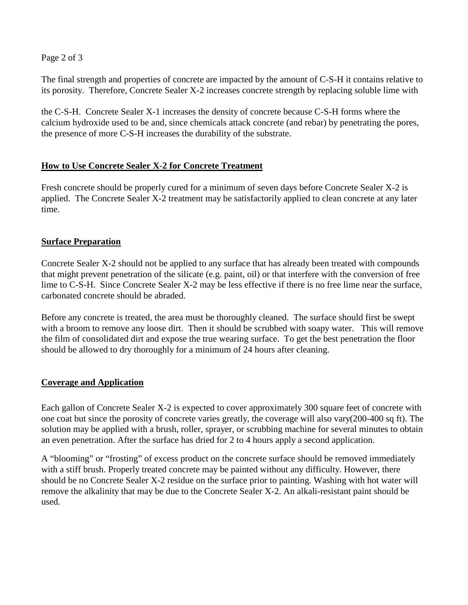Page 2 of 3

The final strength and properties of concrete are impacted by the amount of C-S-H it contains relative to its porosity. Therefore, Concrete Sealer X-2 increases concrete strength by replacing soluble lime with

the C-S-H. Concrete Sealer X-1 increases the density of concrete because C-S-H forms where the calcium hydroxide used to be and, since chemicals attack concrete (and rebar) by penetrating the pores, the presence of more C-S-H increases the durability of the substrate.

# **How to Use Concrete Sealer X-2 for Concrete Treatment**

Fresh concrete should be properly cured for a minimum of seven days before Concrete Sealer X-2 is applied. The Concrete Sealer X-2 treatment may be satisfactorily applied to clean concrete at any later time.

### **Surface Preparation**

Concrete Sealer X-2 should not be applied to any surface that has already been treated with compounds that might prevent penetration of the silicate (e.g. paint, oil) or that interfere with the conversion of free lime to C-S-H. Since Concrete Sealer X-2 may be less effective if there is no free lime near the surface, carbonated concrete should be abraded.

Before any concrete is treated, the area must be thoroughly cleaned. The surface should first be swept with a broom to remove any loose dirt. Then it should be scrubbed with soapy water. This will remove the film of consolidated dirt and expose the true wearing surface. To get the best penetration the floor should be allowed to dry thoroughly for a minimum of 24 hours after cleaning.

### **Coverage and Application**

Each gallon of Concrete Sealer X-2 is expected to cover approximately 300 square feet of concrete with one coat but since the porosity of concrete varies greatly, the coverage will also vary(200-400 sq ft). The solution may be applied with a brush, roller, sprayer, or scrubbing machine for several minutes to obtain an even penetration. After the surface has dried for 2 to 4 hours apply a second application.

A "blooming" or "frosting" of excess product on the concrete surface should be removed immediately with a stiff brush. Properly treated concrete may be painted without any difficulty. However, there should be no Concrete Sealer X-2 residue on the surface prior to painting. Washing with hot water will remove the alkalinity that may be due to the Concrete Sealer X-2. An alkali-resistant paint should be used.